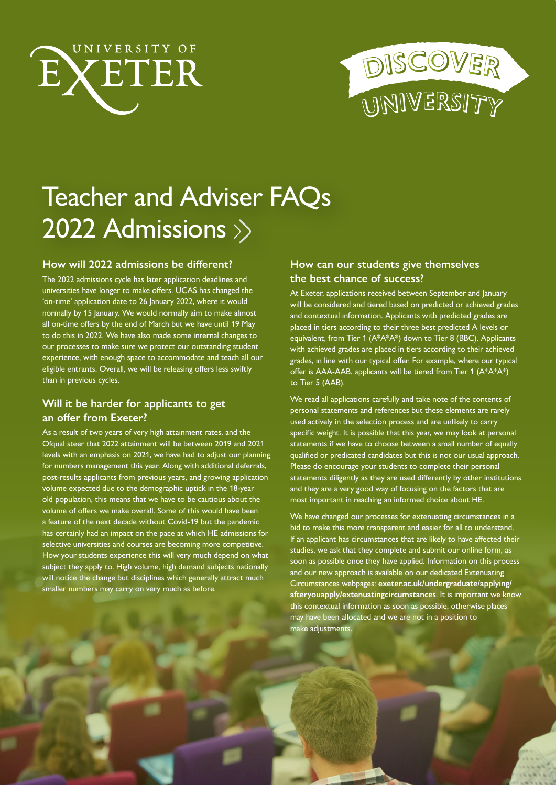



# Teacher and Adviser FAQs 2022 Admissions

### **How will 2022 admissions be different?**

The 2022 admissions cycle has later application deadlines and universities have longer to make offers. UCAS has changed the 'on-time' application date to 26 January 2022, where it would normally by 15 January. We would normally aim to make almost all on-time offers by the end of March but we have until 19 May to do this in 2022. We have also made some internal changes to our processes to make sure we protect our outstanding student experience, with enough space to accommodate and teach all our eligible entrants. Overall, we will be releasing offers less swiftly than in previous cycles.

## **Will it be harder for applicants to get an offer from Exeter?**

As a result of two years of very high attainment rates, and the Ofqual steer that 2022 attainment will be between 2019 and 2021 levels with an emphasis on 2021, we have had to adjust our planning for numbers management this year. Along with additional deferrals, post-results applicants from previous years, and growing application volume expected due to the demographic uptick in the 18-year old population, this means that we have to be cautious about the volume of offers we make overall. Some of this would have been a feature of the next decade without Covid-19 but the pandemic has certainly had an impact on the pace at which HE admissions for selective universities and courses are becoming more competitive. How your students experience this will very much depend on what subject they apply to. High volume, high demand subjects nationally will notice the change but disciplines which generally attract much smaller numbers may carry on very much as before.

## **How can our students give themselves the best chance of success?**

At Exeter, applications received between September and January will be considered and tiered based on predicted or achieved grades and contextual information. Applicants with predicted grades are placed in tiers according to their three best predicted A levels or equivalent, from Tier 1 (A\*A\*A\*) down to Tier 8 (BBC). Applicants with achieved grades are placed in tiers according to their achieved grades, in line with our typical offer. For example, where our typical offer is AAA-AAB, applicants will be tiered from Tier 1 (A\*A\*A\*) to Tier 5 (AAB).

We read all applications carefully and take note of the contents of personal statements and references but these elements are rarely used actively in the selection process and are unlikely to carry specific weight. It is possible that this year, we may look at personal statements if we have to choose between a small number of equally qualified or predicated candidates but this is not our usual approach. Please do encourage your students to complete their personal statements diligently as they are used differently by other institutions and they are a very good way of focusing on the factors that are most important in reaching an informed choice about HE.

We have changed our processes for extenuating circumstances in a bid to make this more transparent and easier for all to understand. If an applicant has circumstances that are likely to have affected their studies, we ask that they complete and submit our online form, as soon as possible once they have applied. Information on this process and our new approach is available on our dedicated [Extenuating](https://www.exeter.ac.uk/undergraduate/applying/afteryouapply/extenuatingcircumstances/)  [Circumstances webpages:](https://www.exeter.ac.uk/undergraduate/applying/afteryouapply/extenuatingcircumstances/) **[exeter.ac.uk/undergraduate/applying/](http://exeter.ac.uk/undergraduate/applying/afteryouapply/extenuatingcircumstances) [afteryouapply/extenuatingcircumstance](http://exeter.ac.uk/undergraduate/applying/afteryouapply/extenuatingcircumstances)s**. It is important we know this contextual information as soon as possible, otherwise places may have been allocated and we are not in a position to make adjustments.